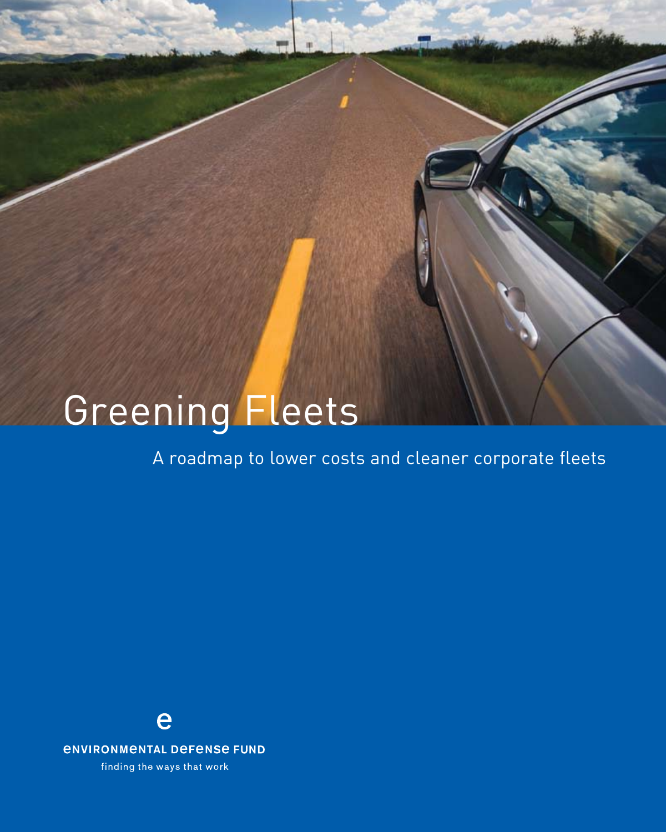# Greening Fleets

A roadmap to lower costs and cleaner corporate fleets

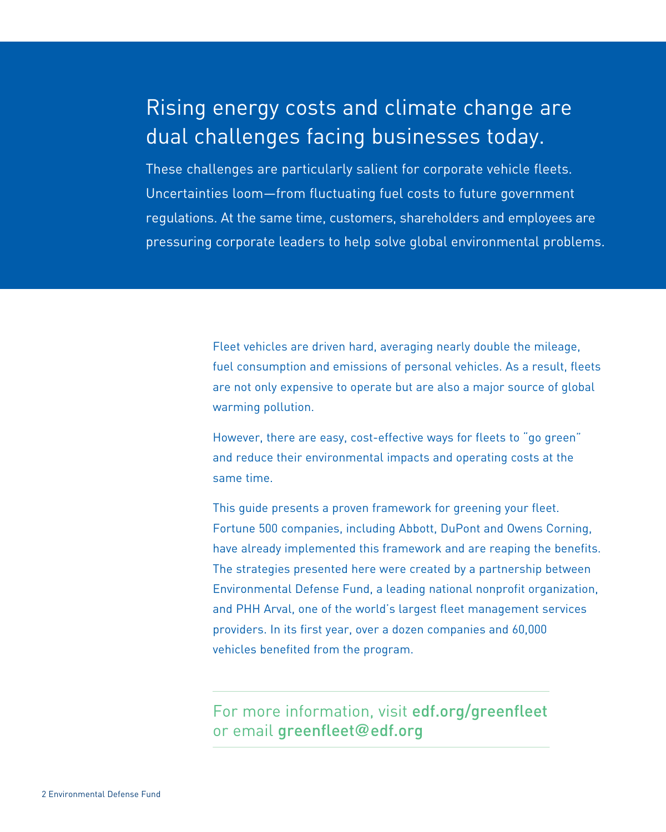# Rising energy costs and climate change are dual challenges facing businesses today.

These challenges are particularly salient for corporate vehicle fleets. Uncertainties loom—from fluctuating fuel costs to future government regulations. At the same time, customers, shareholders and employees are pressuring corporate leaders to help solve global environmental problems.

> Fleet vehicles are driven hard, averaging nearly double the mileage, fuel consumption and emissions of personal vehicles. As a result, fleets are not only expensive to operate but are also a major source of global warming pollution.

However, there are easy, cost-effective ways for fleets to "go green" and reduce their environmental impacts and operating costs at the same time.

This guide presents a proven framework for greening your fleet. Fortune 500 companies, including Abbott, DuPont and Owens Corning, have already implemented this framework and are reaping the benefits. The strategies presented here were created by a partnership between Environmental Defense Fund, a leading national nonprofit organization, and PHH Arval, one of the world's largest fleet management services providers. In its first year, over a dozen companies and 60,000 vehicles benefited from the program.

# For more information, visit edf.org/greenfleet or email greenfleet**@**edf.org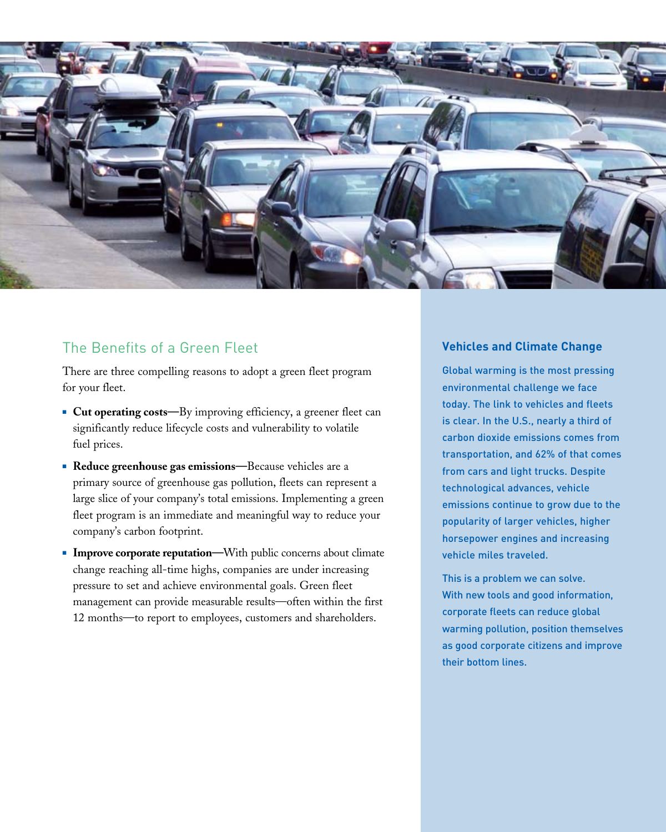

# The Benefits of a Green Fleet

There are three compelling reasons to adopt a green fleet program for your fleet.

- **Cut operating costs—**By improving efficiency, a greener fleet can significantly reduce lifecycle costs and vulnerability to volatile fuel prices.
- **Reduce greenhouse gas emissions—**Because vehicles are a primary source of greenhouse gas pollution, fleets can represent a large slice of your company's total emissions. Implementing a green fleet program is an immediate and meaningful way to reduce your company's carbon footprint.
- **Improve corporate reputation—With public concerns about climate** change reaching all-time highs, companies are under increasing pressure to set and achieve environmental goals. Green fleet management can provide measurable results—often within the first 12 months—to report to employees, customers and shareholders.

#### **Vehicles and Climate Change**

Global warming is the most pressing environmental challenge we face today. The link to vehicles and fleets is clear. In the U.S., nearly a third of carbon dioxide emissions comes from transportation, and 62% of that comes from cars and light trucks. Despite technological advances, vehicle emissions continue to grow due to the popularity of larger vehicles, higher horsepower engines and increasing vehicle miles traveled.

This is a problem we can solve. With new tools and good information, corporate fleets can reduce global warming pollution, position themselves as good corporate citizens and improve their bottom lines.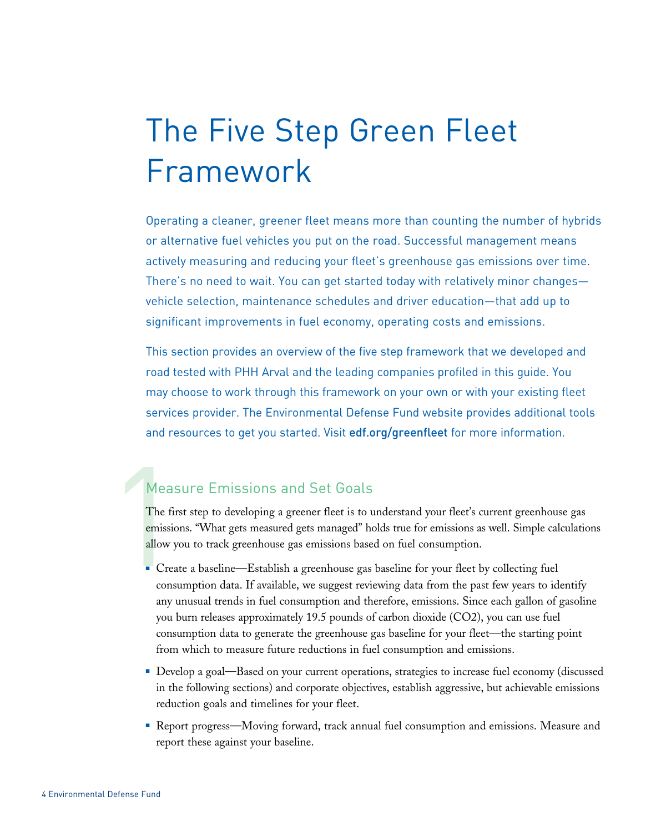The Five Step Green Fleet Framework

Operating a cleaner, greener fleet means more than counting the number of hybrids or alternative fuel vehicles you put on the road. Successful management means actively measuring and reducing your fleet's greenhouse gas emissions over time. There's no need to wait. You can get started today with relatively minor changes vehicle selection, maintenance schedules and driver education—that add up to significant improvements in fuel economy, operating costs and emissions.

This section provides an overview of the five step framework that we developed and road tested with PHH Arval and the leading companies profiled in this guide. You may choose to work through this framework on your own or with your existing fleet services provider. The Environmental Defense Fund website provides additional tools and resources to get you started. Visit edf.org/greenfleet for more information.

## Measure Emissions and Set Goals

Meas<br>The first<br>emission<br>allow ye The first step to developing a greener fleet is to understand your fleet's current greenhouse gas emissions. "What gets measured gets managed" holds true for emissions as well. Simple calculations allow you to track greenhouse gas emissions based on fuel consumption.

- <sup>n</sup> Create a baseline—Establish a greenhouse gas baseline for your fleet by collecting fuel consumption data. If available, we suggest reviewing data from the past few years to identify any unusual trends in fuel consumption and therefore, emissions. Since each gallon of gasoline you burn releases approximately 19.5 pounds of carbon dioxide (CO2), you can use fuel consumption data to generate the greenhouse gas baseline for your fleet—the starting point from which to measure future reductions in fuel consumption and emissions.
- <sup>n</sup> Develop a goal—Based on your current operations, strategies to increase fuel economy (discussed in the following sections) and corporate objectives, establish aggressive, but achievable emissions reduction goals and timelines for your fleet.
- <sup>n</sup> Report progress—Moving forward, track annual fuel consumption and emissions. Measure and report these against your baseline.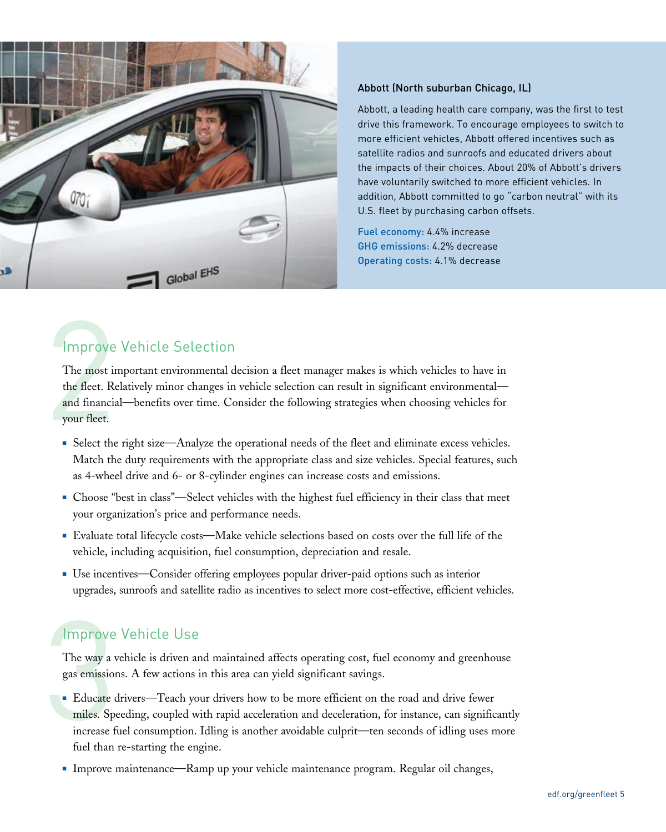

#### Abbott (North suburban Chicago, IL)

Abbott, a leading health care company, was the first to test drive this framework. To encourage employees to switch to more efficient vehicles, Abbott offered incentives such as satellite radios and sunroofs and educated drivers about the impacts of their choices. About 20% of Abbott's drivers have voluntarily switched to more efficient vehicles. In addition, Abbott committed to go "carbon neutral" with its U.S. fleet by purchasing carbon offsets.

Fuel economy: 4.4% increase GHG emissions: 4.2% decrease Operating costs: 4.1% decrease

# **Improve Vehicle Selection**

Improve<br>The most in<br>the fleet. Re<br>and financial<br>your fleet. The most important environmental decision a fleet manager makes is which vehicles to have in the fleet. Relatively minor changes in vehicle selection can result in significant environmental and financial—benefits over time. Consider the following strategies when choosing vehicles for your fleet.

- **Example 1** Select the right size—Analyze the operational needs of the fleet and eliminate excess vehicles. Match the duty requirements with the appropriate class and size vehicles. Special features, such as 4-wheel drive and 6- or 8-cylinder engines can increase costs and emissions.
- **Choose "best in class"—Select vehicles with the highest fuel efficiency in their class that meet** your organization's price and performance needs.
- <sup>n</sup> Evaluate total lifecycle costs—Make vehicle selections based on costs over the full life of the vehicle, including acquisition, fuel consumption, depreciation and resale.
- Use incentives—Consider offering employees popular driver-paid options such as interior upgrades, sunroofs and satellite radio as incentives to select more cost-effective, efficient vehicles.

# Improve Vehicle Use

The way a vehicle is driven and maintained affects operating cost, fuel economy and greenhouse gas emissions. A few actions in this area can yield significant savings.

- Improve<br>The way a v<br>gas emission<br>Educate (miles. Sp<br>increase f <sup>n</sup> Educate drivers—Teach your drivers how to be more efficient on the road and drive fewer miles. Speeding, coupled with rapid acceleration and deceleration, for instance, can significantly increase fuel consumption. Idling is another avoidable culprit—ten seconds of idling uses more fuel than re-starting the engine.
	- <sup>n</sup> Improve maintenance—Ramp up your vehicle maintenance program. Regular oil changes,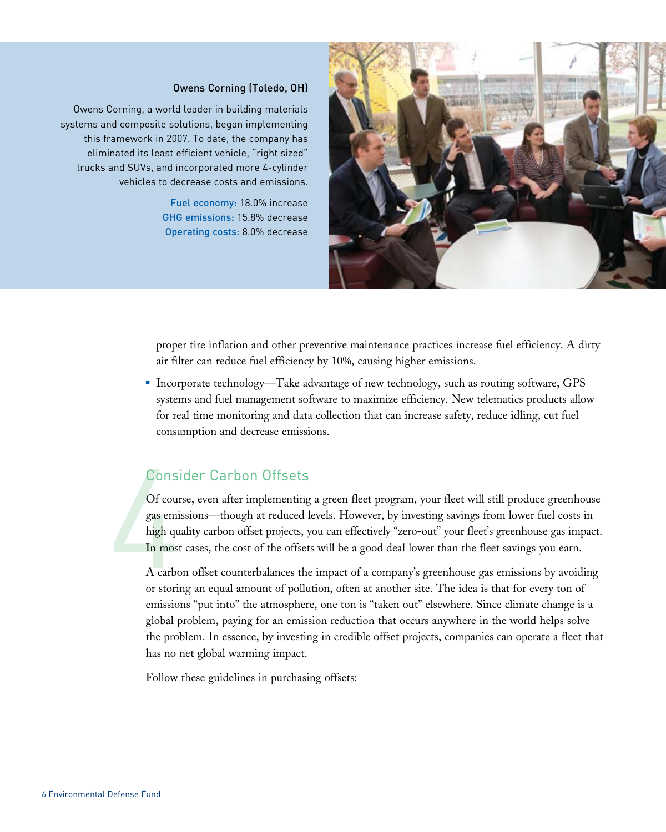#### Owens Corning (Toledo, OH)

Owens Corning, a world leader in building materials systems and composite solutions, began implementing this framework in 2007. To date, the company has eliminated its least efficient vehicle, "right sized" trucks and SUVs, and incorporated more 4-cylinder vehicles to decrease costs and emissions.

> Fuel economy: 18.0% increase GHG emissions: 15.8% decrease Operating costs: 8.0% decrease



proper tire inflation and other preventive maintenance practices increase fuel efficiency. A dirty air filter can reduce fuel efficiency by 10%, causing higher emissions.

Incorporate technology—Take advantage of new technology, such as routing software, GPS systems and fuel management software to maximize efficiency. New telematics products allow for real time monitoring and data collection that can increase safety, reduce idling, cut fuel consumption and decrease emissions.

#### Consider Carbon Offsets

Consi<br>
Of cour<br>
gas emi<br>
high qu<br>
In most<br>
A carbo<br>
or storing Of course, even after implementing a green fleet program, your fleet will still produce greenhouse gas emissions—though at reduced levels. However, by investing savings from lower fuel costs in high quality carbon offset projects, you can effectively "zero-out" your fleet's greenhouse gas impact. In most cases, the cost of the offsets will be a good deal lower than the fleet savings you earn.

A carbon offset counterbalances the impact of a company's greenhouse gas emissions by avoiding or storing an equal amount of pollution, often at another site. The idea is that for every ton of emissions "put into" the atmosphere, one ton is "taken out" elsewhere. Since climate change is a global problem, paying for an emission reduction that occurs anywhere in the world helps solve the problem. In essence, by investing in credible offset projects, companies can operate a fleet that has no net global warming impact.

Follow these guidelines in purchasing offsets: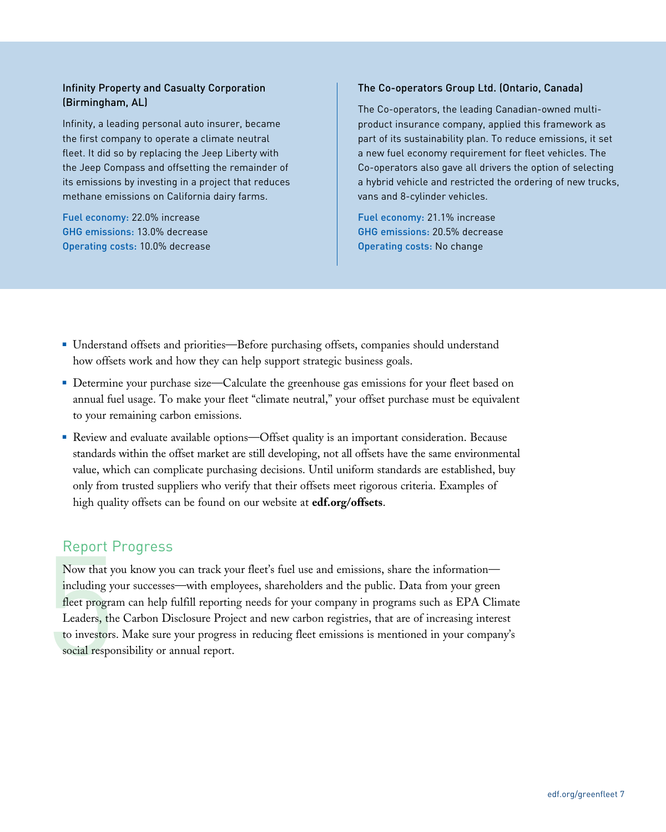#### Infinity Property and Casualty Corporation (Birmingham, AL)

Infinity, a leading personal auto insurer, became the first company to operate a climate neutral fleet. It did so by replacing the Jeep Liberty with the Jeep Compass and offsetting the remainder of its emissions by investing in a project that reduces methane emissions on California dairy farms.

Fuel economy: 22.0% increase GHG emissions: 13.0% decrease Operating costs: 10.0% decrease

#### The Co-operators Group Ltd. (Ontario, Canada)

The Co-operators, the leading Canadian-owned multiproduct insurance company, applied this framework as part of its sustainability plan. To reduce emissions, it set a new fuel economy requirement for fleet vehicles. The Co-operators also gave all drivers the option of selecting a hybrid vehicle and restricted the ordering of new trucks, vans and 8-cylinder vehicles.

Fuel economy: 21.1% increase GHG emissions: 20.5% decrease Operating costs: No change

- <sup>n</sup> Understand offsets and priorities—Before purchasing offsets, companies should understand how offsets work and how they can help support strategic business goals.
- **Determine your purchase size—Calculate the greenhouse gas emissions for your fleet based on** annual fuel usage. To make your fleet "climate neutral," your offset purchase must be equivalent to your remaining carbon emissions.
- <sup>n</sup> Review and evaluate available options—Offset quality is an important consideration. Because standards within the offset market are still developing, not all offsets have the same environmental value, which can complicate purchasing decisions. Until uniform standards are established, buy only from trusted suppliers who verify that their offsets meet rigorous criteria. Examples of high quality offsets can be found on our website at **edf.org/offsets**.

## Report Progress

Report F<br>Now that y<br>including ye<br>fleet progra<br>Leaders, the<br>to investors<br>social respo Now that you know you can track your fleet's fuel use and emissions, share the information including your successes—with employees, shareholders and the public. Data from your green fleet program can help fulfill reporting needs for your company in programs such as EPA Climate Leaders, the Carbon Disclosure Project and new carbon registries, that are of increasing interest to investors. Make sure your progress in reducing fleet emissions is mentioned in your company's social responsibility or annual report.